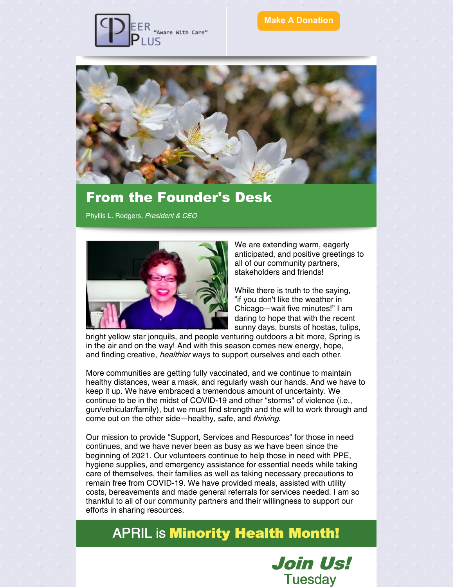

#### **Make A [Donation](https://www.peerpluscares.org/donate)**



## From the Founder's Desk

Phyllis L. Rodgers, President & CEO



We are extending warm, eagerly anticipated, and positive greetings to all of our community partners, stakeholders and friends!

While there is truth to the saying, "if you don't like the weather in Chicago—wait five minutes!" I am daring to hope that with the recent sunny days, bursts of hostas, tulips,

bright yellow star jonquils, and people venturing outdoors a bit more, Spring is in the air and on the way! And with this season comes new energy, hope, and finding creative, *healthier* ways to support ourselves and each other.

More communities are getting fully vaccinated, and we continue to maintain healthy distances, wear a mask, and regularly wash our hands. And we have to keep it up. We have embraced a tremendous amount of uncertainty. We continue to be in the midst of COVID-19 and other "storms" of violence (i.e., gun/vehicular/family), but we must find strength and the will to work through and come out on the other side—healthy, safe, and thriving.

Our mission to provide "Support, Services and Resources" for those in need continues, and we have never been as busy as we have been since the beginning of 2021. Our volunteers continue to help those in need with PPE, hygiene supplies, and emergency assistance for essential needs while taking care of themselves, their families as well as taking necessary precautions to remain free from COVID-19. We have provided meals, assisted with utility costs, bereavements and made general referrals for services needed. I am so thankful to all of our community partners and their willingness to support our efforts in sharing resources.

# APRIL is Minority Health Month!

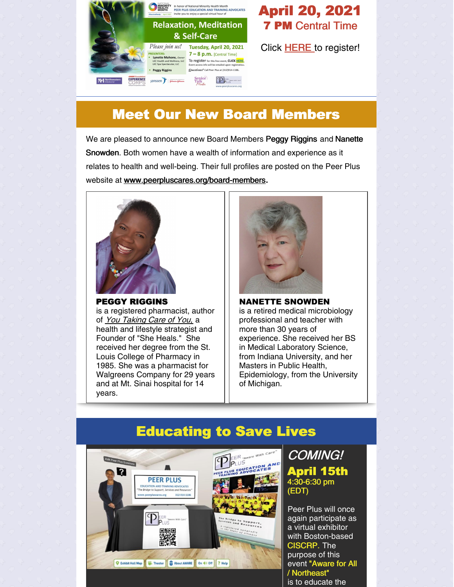

## April 20, 2021 **7 PM Central Time**

Click [HERE](https://northwestern.zoom.us/meeting/register/tJYkd-mrqjkjE9GewMBK4_liLTwE5r7XHenX) to register!

# Meet Our New Board Members

We are pleased to announce new Board Members Peggy Riggins and Nanette Snowden. Both women have a wealth of information and experience as it relates to health and well-being. Their full profiles are posted on the Peer Plus website at [www.peerpluscares.org/board-members](https://www.peerpluscares.org/board-members).



PEGGY RIGGINS is a registered pharmacist, author of You Taking Care of You, a health and lifestyle strategist and Founder of "She Heals." She received her degree from the St. Louis College of Pharmacy in 1985. She was a pharmacist for Walgreens Company for 29 years and at Mt. Sinai hospital for 14 years.



NANETTE SNOWDEN is a retired medical microbiology professional and teacher with more than 30 years of experience. She received her BS in Medical Laboratory Science, from Indiana University, and her Masters in Public Health, Epidemiology, from the University of Michigan.



### COMING! April 15th 4:30-6:30 pm (EDT)

Peer Plus will once again participate as a virtual exhibitor with Boston-based CISCRP. The purpose of this event "Aware for All / Northeast" is to educate the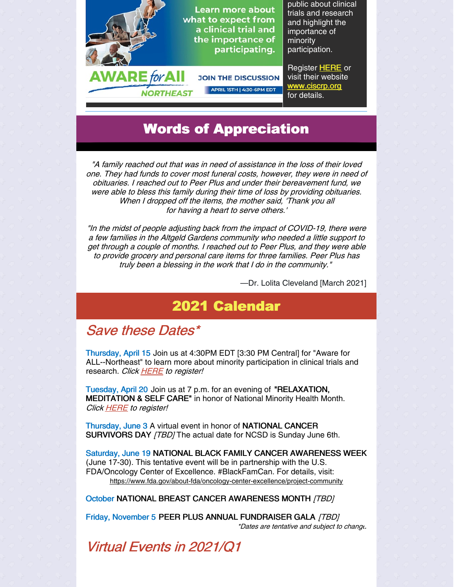

# Words of Appreciation

"A family reached out that was in need of assistance in the loss of their loved one. They had funds to cover most funeral costs, however, they were in need of obituaries. I reached out to Peer Plus and under their bereavement fund, we were able to bless this family during their time of loss by providing obituaries. When I dropped off the items, the mother said, 'Thank you all for having <sup>a</sup> heart to serve others.'

"In the midst of people adjusting back from the impact of COVID-19, there were <sup>a</sup> few families in the Altgeld Gardens community who needed <sup>a</sup> little support to get through <sup>a</sup> couple of months. I reached out to Peer Plus, and they were able to provide grocery and personal care items for three families. Peer Plus has truly been <sup>a</sup> blessing in the work that I do in the community."

—Dr. Lolita Cleveland [March 2021]

# 2021 Calendar

### Save these Dates\*

Thursday, April 15 Join us at 4:30PM EDT [3:30 PM Central] for "Aware for ALL--Northeast" to learn more about minority participation in clinical trials and research. Click [HERE](https://bit.ly/3dfHVe7) to register!

Tuesday, April 20 Join us at 7 p.m. for an evening of "RELAXATION, MEDITATION & SELF CARE" in honor of National Minority Health Month. Click **[HERE](https://northwestern.zoom.us/meeting/register/tJYkd-mrqjkjE9GewMBK4_liLTwE5r7XHenX)** to register!

Thursday, June 3 A virtual event in honor of NATIONAL CANCER SURVIVORS DAY [TBD] The actual date for NCSD is Sunday June 6th.

Saturday, June 19 NATIONAL BLACK FAMILY CANCER AWARENESS WEEK (June 17-30). This tentative event will be in partnership with the U.S. FDA/Oncology Center of Excellence. #BlackFamCan. For details, visit: <https://www.fda.gov/about-fda/oncology-center-excellence/project-community>

October NATIONAL BREAST CANCER AWARENESS MONTH [TBD]

Friday, November 5 PEER PLUS ANNUAL FUNDRAISER GALA [TBD] \*Dates are tentative and subject to change.

Virtual Events in 2021/Q1